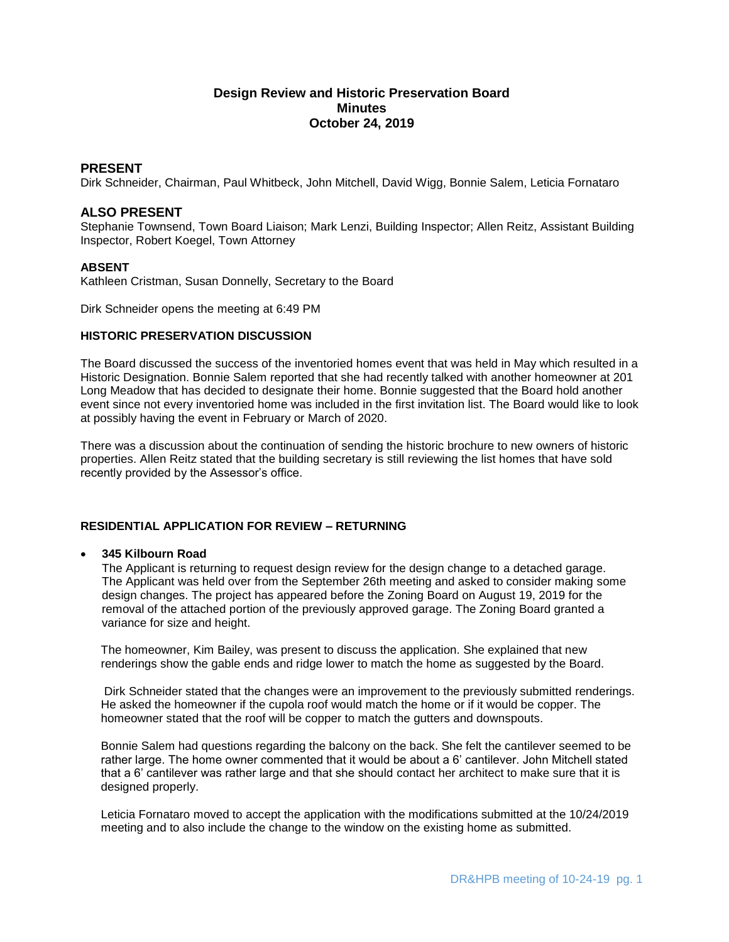# **Design Review and Historic Preservation Board Minutes October 24, 2019**

# **PRESENT**

Dirk Schneider, Chairman, Paul Whitbeck, John Mitchell, David Wigg, Bonnie Salem, Leticia Fornataro

# **ALSO PRESENT**

Stephanie Townsend, Town Board Liaison; Mark Lenzi, Building Inspector; Allen Reitz, Assistant Building Inspector, Robert Koegel, Town Attorney

# **ABSENT**

Kathleen Cristman, Susan Donnelly, Secretary to the Board

Dirk Schneider opens the meeting at 6:49 PM

# **HISTORIC PRESERVATION DISCUSSION**

The Board discussed the success of the inventoried homes event that was held in May which resulted in a Historic Designation. Bonnie Salem reported that she had recently talked with another homeowner at 201 Long Meadow that has decided to designate their home. Bonnie suggested that the Board hold another event since not every inventoried home was included in the first invitation list. The Board would like to look at possibly having the event in February or March of 2020.

There was a discussion about the continuation of sending the historic brochure to new owners of historic properties. Allen Reitz stated that the building secretary is still reviewing the list homes that have sold recently provided by the Assessor's office.

# **RESIDENTIAL APPLICATION FOR REVIEW – RETURNING**

# **345 Kilbourn Road**

The Applicant is returning to request design review for the design change to a detached garage. The Applicant was held over from the September 26th meeting and asked to consider making some design changes. The project has appeared before the Zoning Board on August 19, 2019 for the removal of the attached portion of the previously approved garage. The Zoning Board granted a variance for size and height.

The homeowner, Kim Bailey, was present to discuss the application. She explained that new renderings show the gable ends and ridge lower to match the home as suggested by the Board.

Dirk Schneider stated that the changes were an improvement to the previously submitted renderings. He asked the homeowner if the cupola roof would match the home or if it would be copper. The homeowner stated that the roof will be copper to match the gutters and downspouts.

Bonnie Salem had questions regarding the balcony on the back. She felt the cantilever seemed to be rather large. The home owner commented that it would be about a 6' cantilever. John Mitchell stated that a 6' cantilever was rather large and that she should contact her architect to make sure that it is designed properly.

Leticia Fornataro moved to accept the application with the modifications submitted at the 10/24/2019 meeting and to also include the change to the window on the existing home as submitted.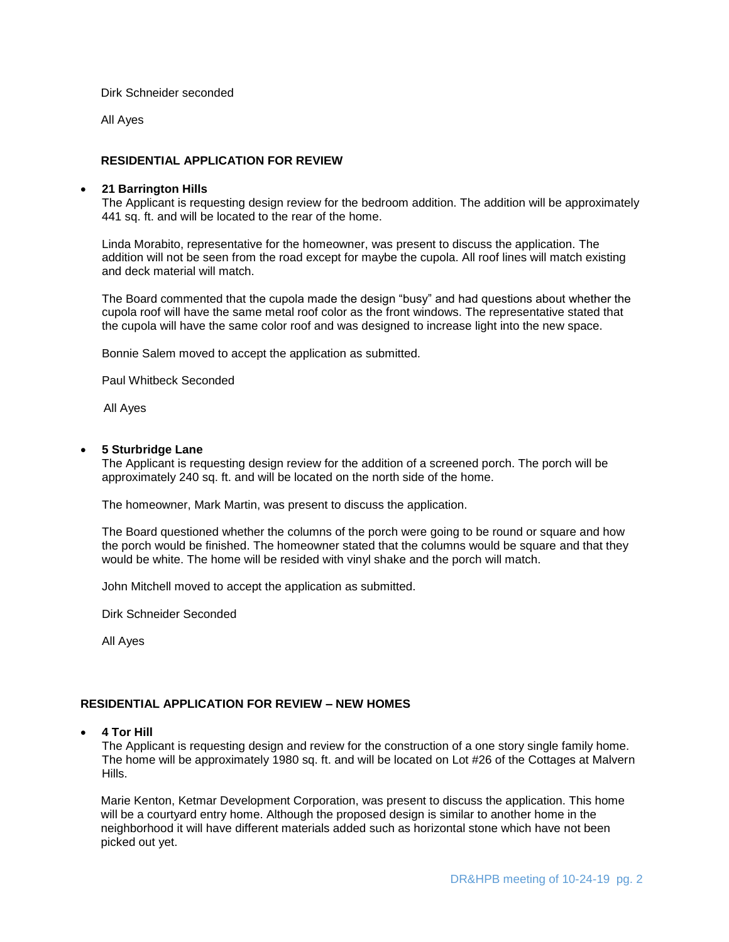Dirk Schneider seconded

All Ayes

# **RESIDENTIAL APPLICATION FOR REVIEW**

#### **21 Barrington Hills**

The Applicant is requesting design review for the bedroom addition. The addition will be approximately 441 sq. ft. and will be located to the rear of the home.

Linda Morabito, representative for the homeowner, was present to discuss the application. The addition will not be seen from the road except for maybe the cupola. All roof lines will match existing and deck material will match.

The Board commented that the cupola made the design "busy" and had questions about whether the cupola roof will have the same metal roof color as the front windows. The representative stated that the cupola will have the same color roof and was designed to increase light into the new space.

Bonnie Salem moved to accept the application as submitted.

Paul Whitbeck Seconded

All Ayes

#### **5 Sturbridge Lane**

The Applicant is requesting design review for the addition of a screened porch. The porch will be approximately 240 sq. ft. and will be located on the north side of the home.

The homeowner, Mark Martin, was present to discuss the application.

The Board questioned whether the columns of the porch were going to be round or square and how the porch would be finished. The homeowner stated that the columns would be square and that they would be white. The home will be resided with vinyl shake and the porch will match.

John Mitchell moved to accept the application as submitted.

Dirk Schneider Seconded

All Ayes

# **RESIDENTIAL APPLICATION FOR REVIEW – NEW HOMES**

**4 Tor Hill**

The Applicant is requesting design and review for the construction of a one story single family home. The home will be approximately 1980 sq. ft. and will be located on Lot #26 of the Cottages at Malvern Hills.

Marie Kenton, Ketmar Development Corporation, was present to discuss the application. This home will be a courtyard entry home. Although the proposed design is similar to another home in the neighborhood it will have different materials added such as horizontal stone which have not been picked out yet.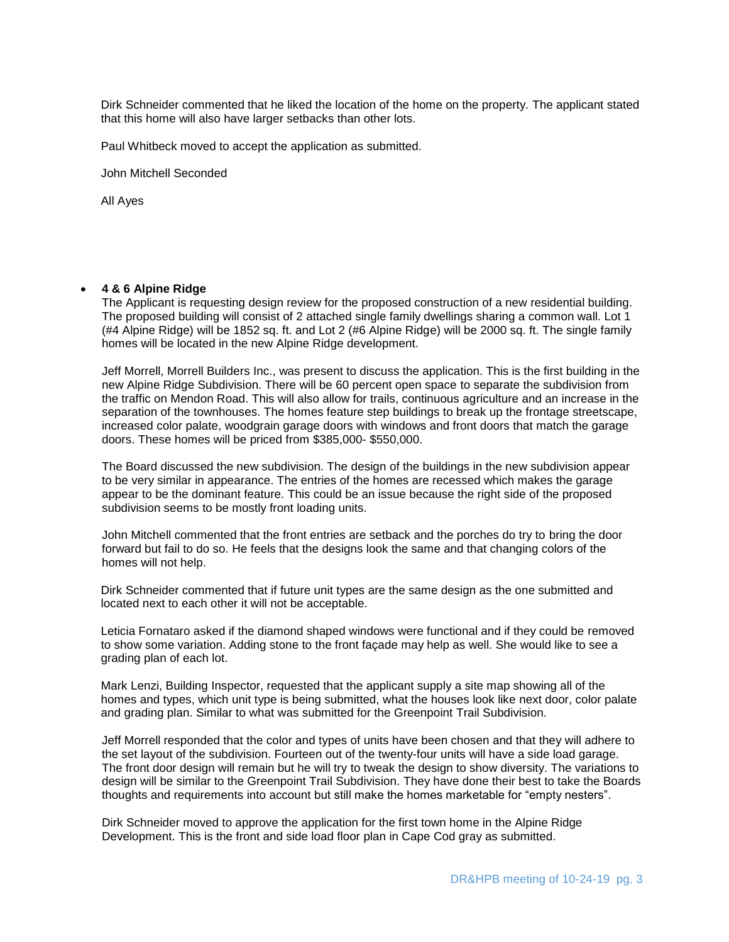Dirk Schneider commented that he liked the location of the home on the property. The applicant stated that this home will also have larger setbacks than other lots.

Paul Whitbeck moved to accept the application as submitted.

John Mitchell Seconded

All Ayes

#### **4 & 6 Alpine Ridge**

The Applicant is requesting design review for the proposed construction of a new residential building. The proposed building will consist of 2 attached single family dwellings sharing a common wall. Lot 1 (#4 Alpine Ridge) will be 1852 sq. ft. and Lot 2 (#6 Alpine Ridge) will be 2000 sq. ft. The single family homes will be located in the new Alpine Ridge development.

Jeff Morrell, Morrell Builders Inc., was present to discuss the application. This is the first building in the new Alpine Ridge Subdivision. There will be 60 percent open space to separate the subdivision from the traffic on Mendon Road. This will also allow for trails, continuous agriculture and an increase in the separation of the townhouses. The homes feature step buildings to break up the frontage streetscape, increased color palate, woodgrain garage doors with windows and front doors that match the garage doors. These homes will be priced from \$385,000- \$550,000.

The Board discussed the new subdivision. The design of the buildings in the new subdivision appear to be very similar in appearance. The entries of the homes are recessed which makes the garage appear to be the dominant feature. This could be an issue because the right side of the proposed subdivision seems to be mostly front loading units.

John Mitchell commented that the front entries are setback and the porches do try to bring the door forward but fail to do so. He feels that the designs look the same and that changing colors of the homes will not help.

Dirk Schneider commented that if future unit types are the same design as the one submitted and located next to each other it will not be acceptable.

Leticia Fornataro asked if the diamond shaped windows were functional and if they could be removed to show some variation. Adding stone to the front façade may help as well. She would like to see a grading plan of each lot.

Mark Lenzi, Building Inspector, requested that the applicant supply a site map showing all of the homes and types, which unit type is being submitted, what the houses look like next door, color palate and grading plan. Similar to what was submitted for the Greenpoint Trail Subdivision.

Jeff Morrell responded that the color and types of units have been chosen and that they will adhere to the set layout of the subdivision. Fourteen out of the twenty-four units will have a side load garage. The front door design will remain but he will try to tweak the design to show diversity. The variations to design will be similar to the Greenpoint Trail Subdivision. They have done their best to take the Boards thoughts and requirements into account but still make the homes marketable for "empty nesters".

Dirk Schneider moved to approve the application for the first town home in the Alpine Ridge Development. This is the front and side load floor plan in Cape Cod gray as submitted.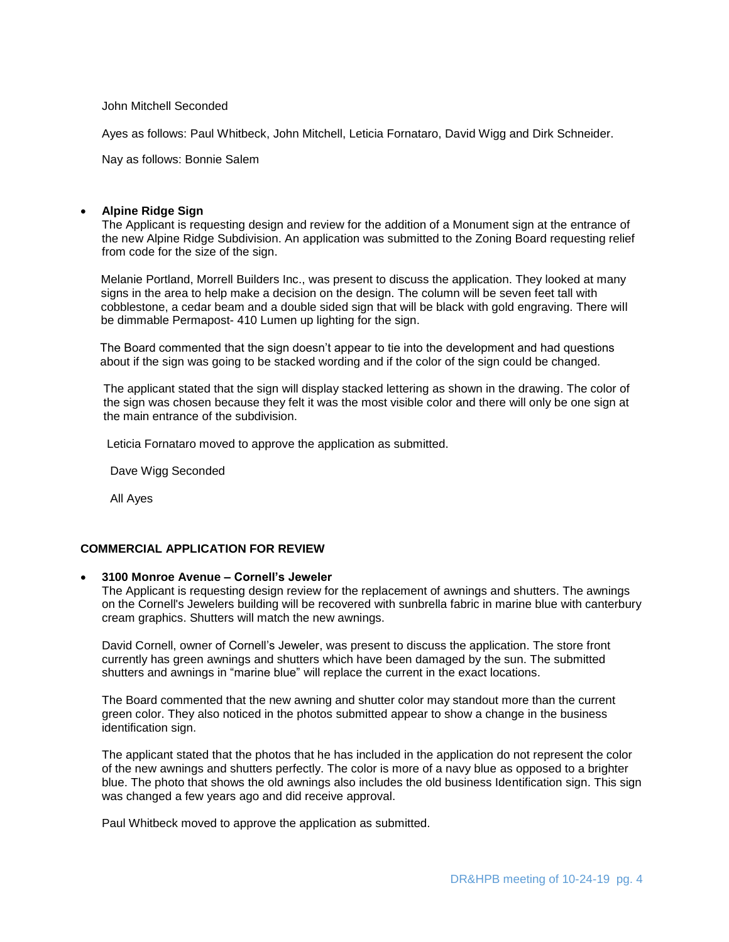John Mitchell Seconded

Ayes as follows: Paul Whitbeck, John Mitchell, Leticia Fornataro, David Wigg and Dirk Schneider.

Nay as follows: Bonnie Salem

# **Alpine Ridge Sign**

The Applicant is requesting design and review for the addition of a Monument sign at the entrance of the new Alpine Ridge Subdivision. An application was submitted to the Zoning Board requesting relief from code for the size of the sign.

Melanie Portland, Morrell Builders Inc., was present to discuss the application. They looked at many signs in the area to help make a decision on the design. The column will be seven feet tall with cobblestone, a cedar beam and a double sided sign that will be black with gold engraving. There will be dimmable Permapost- 410 Lumen up lighting for the sign.

The Board commented that the sign doesn't appear to tie into the development and had questions about if the sign was going to be stacked wording and if the color of the sign could be changed.

 The applicant stated that the sign will display stacked lettering as shown in the drawing. The color of the sign was chosen because they felt it was the most visible color and there will only be one sign at the main entrance of the subdivision.

Leticia Fornataro moved to approve the application as submitted.

Dave Wigg Seconded

All Ayes

# **COMMERCIAL APPLICATION FOR REVIEW**

# **3100 Monroe Avenue – Cornell's Jeweler**

The Applicant is requesting design review for the replacement of awnings and shutters. The awnings on the Cornell's Jewelers building will be recovered with sunbrella fabric in marine blue with canterbury cream graphics. Shutters will match the new awnings.

David Cornell, owner of Cornell's Jeweler, was present to discuss the application. The store front currently has green awnings and shutters which have been damaged by the sun. The submitted shutters and awnings in "marine blue" will replace the current in the exact locations.

The Board commented that the new awning and shutter color may standout more than the current green color. They also noticed in the photos submitted appear to show a change in the business identification sign.

The applicant stated that the photos that he has included in the application do not represent the color of the new awnings and shutters perfectly. The color is more of a navy blue as opposed to a brighter blue. The photo that shows the old awnings also includes the old business Identification sign. This sign was changed a few years ago and did receive approval.

Paul Whitbeck moved to approve the application as submitted.